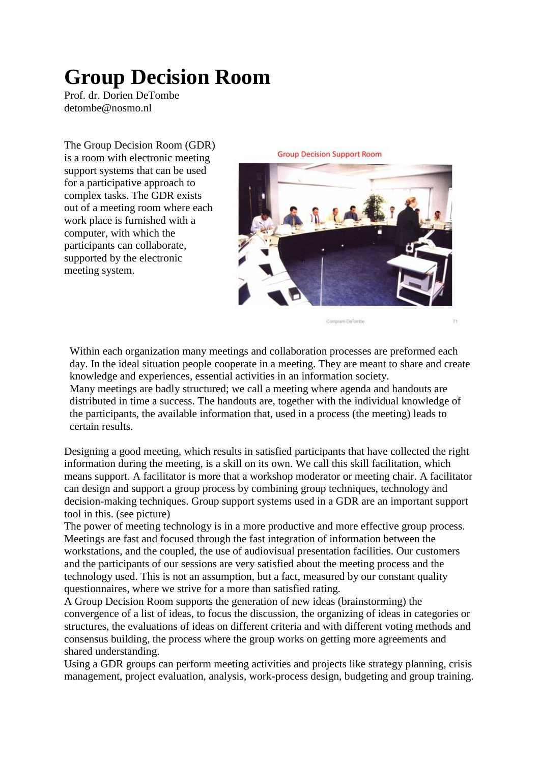# **Group Decision Room**

Prof. dr. Dorien DeTombe detombe@nosmo.nl

The Group Decision Room (GDR) is a room with electronic meeting support systems that can be used for a participative approach to complex tasks. The GDR exists out of a meeting room where each work place is furnished with a computer, with which the participants can collaborate, supported by the electronic meeting system.



Within each organization many meetings and collaboration processes are preformed each day. In the ideal situation people cooperate in a meeting. They are meant to share and create knowledge and experiences, essential activities in an information society. Many meetings are badly structured; we call a meeting where agenda and handouts are distributed in time a success. The handouts are, together with the individual knowledge of the participants, the available information that, used in a process (the meeting) leads to certain results.

Designing a good meeting, which results in satisfied participants that have collected the right information during the meeting, is a skill on its own. We call this skill facilitation, which means support. A facilitator is more that a workshop moderator or meeting chair. A facilitator can design and support a group process by combining group techniques, technology and decision-making techniques. Group support systems used in a GDR are an important support tool in this. (see picture)

The power of meeting technology is in a more productive and more effective group process. Meetings are fast and focused through the fast integration of information between the workstations, and the coupled, the use of audiovisual presentation facilities. Our customers and the participants of our sessions are very satisfied about the meeting process and the technology used. This is not an assumption, but a fact, measured by our constant quality questionnaires, where we strive for a more than satisfied rating.

A Group Decision Room supports the generation of new ideas (brainstorming) the convergence of a list of ideas, to focus the discussion, the organizing of ideas in categories or structures, the evaluations of ideas on different criteria and with different voting methods and consensus building, the process where the group works on getting more agreements and shared understanding.

Using a GDR groups can perform meeting activities and projects like strategy planning, crisis management, project evaluation, analysis, work-process design, budgeting and group training.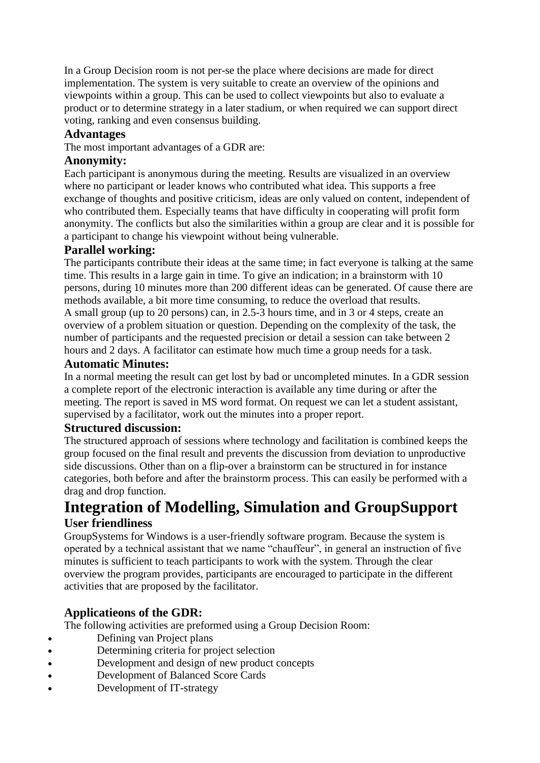In a Group Decision room is not per-se the place where decisions are made for direct implementation. The system is very suitable to create an overview of the opinions and viewpoints within a group. This can be used to collect viewpoints but also to evaluate a product or to determine strategy in a later stadium, or when required we can support direct voting, ranking and even consensus building.

# **Advantages**

The most important advantages of a GDR are:

### **Anonymity:**

Each participant is anonymous during the meeting. Results are visualized in an overview where no participant or leader knows who contributed what idea. This supports a free exchange of thoughts and positive criticism, ideas are only valued on content, independent of who contributed them. Especially teams that have difficulty in cooperating will profit form anonymity. The conflicts but also the similarities within a group are clear and it is possible for a participant to change his viewpoint without being vulnerable.

# **Parallel working:**

The participants contribute their ideas at the same time; in fact everyone is talking at the same time. This results in a large gain in time. To give an indication; in a brainstorm with 10 persons, during 10 minutes more than 200 different ideas can be generated. Of cause there are methods available, a bit more time consuming, to reduce the overload that results. A small group (up to 20 persons) can, in 2.5-3 hours time, and in 3 or 4 steps, create an overview of a problem situation or question. Depending on the complexity of the task, the number of participants and the requested precision or detail a session can take between 2 hours and 2 days. A facilitator can estimate how much time a group needs for a task.

#### **Automatic Minutes:**

In a normal meeting the result can get lost by bad or uncompleted minutes. In a GDR session a complete report of the electronic interaction is available any time during or after the meeting. The report is saved in MS word format. On request we can let a student assistant, supervised by a facilitator, work out the minutes into a proper report.

#### **Structured discussion:**

The structured approach of sessions where technology and facilitation is combined keeps the group focused on the final result and prevents the discussion from deviation to unproductive side discussions. Other than on a flip-over a brainstorm can be structured in for instance categories, both before and after the brainstorm process. This can easily be performed with a drag and drop function.

# **Integration of Modelling, Simulation and GroupSupport User friendliness**

GroupSystems for Windows is a user-friendly software program. Because the system is operated by a technical assistant that we name "chauffeur", in general an instruction of five minutes is sufficient to teach participants to work with the system. Through the clear overview the program provides, participants are encouraged to participate in the different activities that are proposed by the facilitator.

# **Applicatieons of the GDR:**

The following activities are preformed using a Group Decision Room:

- Defining van Project plans
- Determining criteria for project selection
- Development and design of new product concepts
- Development of Balanced Score Cards
- Development of IT-strategy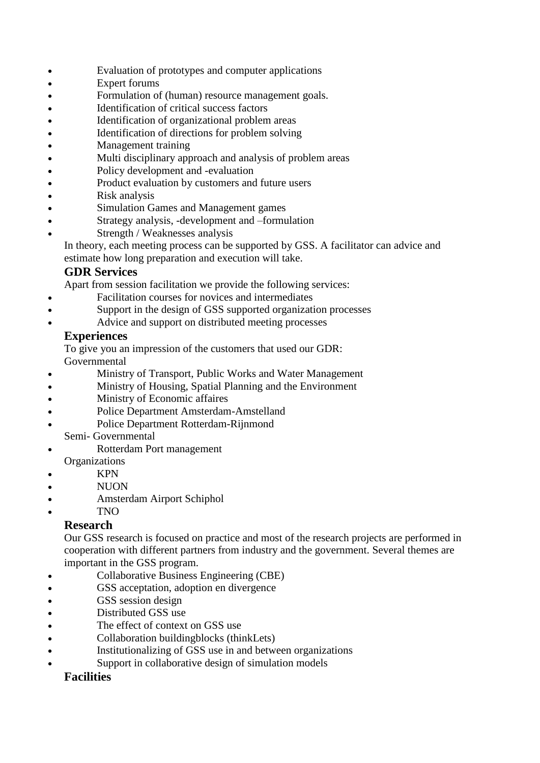- Evaluation of prototypes and computer applications
- Expert forums
- Formulation of (human) resource management goals.
- Identification of critical success factors
- Identification of organizational problem areas
- Identification of directions for problem solving
- Management training
- Multi disciplinary approach and analysis of problem areas
- Policy development and -evaluation
- Product evaluation by customers and future users
- Risk analysis
- Simulation Games and Management games
- Strategy analysis, -development and –formulation
- Strength / Weaknesses analysis

In theory, each meeting process can be supported by GSS. A facilitator can advice and estimate how long preparation and execution will take.

# **GDR Services**

Apart from session facilitation we provide the following services:

- Facilitation courses for novices and intermediates
- Support in the design of GSS supported organization processes
- Advice and support on distributed meeting processes

# **Experiences**

To give you an impression of the customers that used our GDR: Governmental

- Ministry of Transport, Public Works and Water Management
- Ministry of Housing, Spatial Planning and the Environment
- Ministry of Economic affaires
- Police Department Amsterdam-Amstelland
- Police Department Rotterdam-Rijnmond
	- Semi- Governmental
- Rotterdam Port management **Organizations**
- KPN
- NUON
- Amsterdam Airport Schiphol
- TNO

# **Research**

Our GSS research is focused on practice and most of the research projects are performed in cooperation with different partners from industry and the government. Several themes are important in the GSS program.

- Collaborative Business Engineering (CBE)
- GSS acceptation, adoption en divergence
- **GSS** session design
- Distributed GSS use
- The effect of context on GSS use
- Collaboration buildingblocks (thinkLets)
- Institutionalizing of GSS use in and between organizations
- Support in collaborative design of simulation models

# **Facilities**